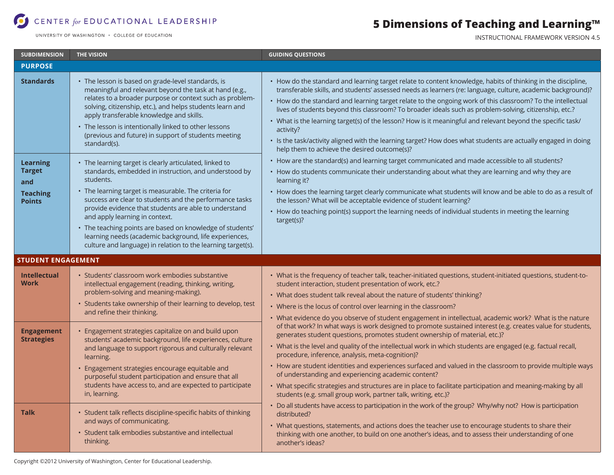# CENTER for EDUCATIONAL LEADERSHIP

UNIVERSITY OF WASHINGTON . COLLEGE OF EDUCATION

## **5 Dimensions of Teaching and Learning™**

INSTRUCTIONAL FRAMEWORK VERSION 4.5

| <b>SUBDIMENSION</b>                                                         | <b>THE VISION</b>                                                                                                                                                                                                                                                                                                                                                                                                                                                                                                                   | <b>GUIDING QUESTIONS</b>                                                                                                                                                                                                                                                                                                                                                                                                                                                                                                                                                                                                                                                                                                                                                                                                                                                                                                                                                                                                                                                                                                                                                                                                                                                          |
|-----------------------------------------------------------------------------|-------------------------------------------------------------------------------------------------------------------------------------------------------------------------------------------------------------------------------------------------------------------------------------------------------------------------------------------------------------------------------------------------------------------------------------------------------------------------------------------------------------------------------------|-----------------------------------------------------------------------------------------------------------------------------------------------------------------------------------------------------------------------------------------------------------------------------------------------------------------------------------------------------------------------------------------------------------------------------------------------------------------------------------------------------------------------------------------------------------------------------------------------------------------------------------------------------------------------------------------------------------------------------------------------------------------------------------------------------------------------------------------------------------------------------------------------------------------------------------------------------------------------------------------------------------------------------------------------------------------------------------------------------------------------------------------------------------------------------------------------------------------------------------------------------------------------------------|
| <b>PURPOSE</b>                                                              |                                                                                                                                                                                                                                                                                                                                                                                                                                                                                                                                     |                                                                                                                                                                                                                                                                                                                                                                                                                                                                                                                                                                                                                                                                                                                                                                                                                                                                                                                                                                                                                                                                                                                                                                                                                                                                                   |
| <b>Standards</b>                                                            | • The lesson is based on grade-level standards, is<br>meaningful and relevant beyond the task at hand (e.g.,<br>relates to a broader purpose or context such as problem-<br>solving, citizenship, etc.), and helps students learn and<br>apply transferable knowledge and skills.<br>• The lesson is intentionally linked to other lessons<br>(previous and future) in support of students meeting<br>standard(s).                                                                                                                  | • How do the standard and learning target relate to content knowledge, habits of thinking in the discipline,<br>transferable skills, and students' assessed needs as learners (re: language, culture, academic background)?<br>• How do the standard and learning target relate to the ongoing work of this classroom? To the intellectual<br>lives of students beyond this classroom? To broader ideals such as problem-solving, citizenship, etc.?<br>· What is the learning target(s) of the lesson? How is it meaningful and relevant beyond the specific task/<br>activity?<br>· Is the task/activity aligned with the learning target? How does what students are actually engaged in doing<br>help them to achieve the desired outcome(s)?<br>• How are the standard(s) and learning target communicated and made accessible to all students?<br>• How do students communicate their understanding about what they are learning and why they are<br>learning it?<br>• How does the learning target clearly communicate what students will know and be able to do as a result of<br>the lesson? What will be acceptable evidence of student learning?<br>• How do teaching point(s) support the learning needs of individual students in meeting the learning<br>target(s)? |
| <b>Learning</b><br><b>Target</b><br>and<br><b>Teaching</b><br><b>Points</b> | • The learning target is clearly articulated, linked to<br>standards, embedded in instruction, and understood by<br>students.<br>• The learning target is measurable. The criteria for<br>success are clear to students and the performance tasks<br>provide evidence that students are able to understand<br>and apply learning in context.<br>• The teaching points are based on knowledge of students'<br>learning needs (academic background, life experiences,<br>culture and language) in relation to the learning target(s). |                                                                                                                                                                                                                                                                                                                                                                                                                                                                                                                                                                                                                                                                                                                                                                                                                                                                                                                                                                                                                                                                                                                                                                                                                                                                                   |
| <b>STUDENT ENGAGEMENT</b>                                                   |                                                                                                                                                                                                                                                                                                                                                                                                                                                                                                                                     |                                                                                                                                                                                                                                                                                                                                                                                                                                                                                                                                                                                                                                                                                                                                                                                                                                                                                                                                                                                                                                                                                                                                                                                                                                                                                   |
| <b>Intellectual</b><br><b>Work</b>                                          | Students' classroom work embodies substantive<br>intellectual engagement (reading, thinking, writing,<br>problem-solving and meaning-making).<br>• Students take ownership of their learning to develop, test<br>and refine their thinking.                                                                                                                                                                                                                                                                                         | • What is the frequency of teacher talk, teacher-initiated questions, student-initiated questions, student-to-<br>student interaction, student presentation of work, etc.?<br>• What does student talk reveal about the nature of students' thinking?<br>• Where is the locus of control over learning in the classroom?<br>• What evidence do you observe of student engagement in intellectual, academic work? What is the nature<br>of that work? In what ways is work designed to promote sustained interest (e.g. creates value for students,<br>generates student questions, promotes student ownership of material, etc.)?<br>• What is the level and quality of the intellectual work in which students are engaged (e.g. factual recall,<br>procedure, inference, analysis, meta-cognition)?<br>• How are student identities and experiences surfaced and valued in the classroom to provide multiple ways<br>of understanding and experiencing academic content?<br>• What specific strategies and structures are in place to facilitate participation and meaning-making by all<br>students (e.g. small group work, partner talk, writing, etc.)?                                                                                                                      |
| <b>Engagement</b><br><b>Strategies</b>                                      | Engagement strategies capitalize on and build upon<br>students' academic background, life experiences, culture<br>and language to support rigorous and culturally relevant<br>learning.<br>Engagement strategies encourage equitable and<br>purposeful student participation and ensure that all<br>students have access to, and are expected to participate<br>in, learning.                                                                                                                                                       |                                                                                                                                                                                                                                                                                                                                                                                                                                                                                                                                                                                                                                                                                                                                                                                                                                                                                                                                                                                                                                                                                                                                                                                                                                                                                   |
| <b>Talk</b>                                                                 | • Student talk reflects discipline-specific habits of thinking<br>and ways of communicating.<br>• Student talk embodies substantive and intellectual<br>thinking.                                                                                                                                                                                                                                                                                                                                                                   | • Do all students have access to participation in the work of the group? Why/why not? How is participation<br>distributed?<br>• What questions, statements, and actions does the teacher use to encourage students to share their<br>thinking with one another, to build on one another's ideas, and to assess their understanding of one<br>another's ideas?                                                                                                                                                                                                                                                                                                                                                                                                                                                                                                                                                                                                                                                                                                                                                                                                                                                                                                                     |

Copyright ©2012 University of Washington, Center for Educational Leadership.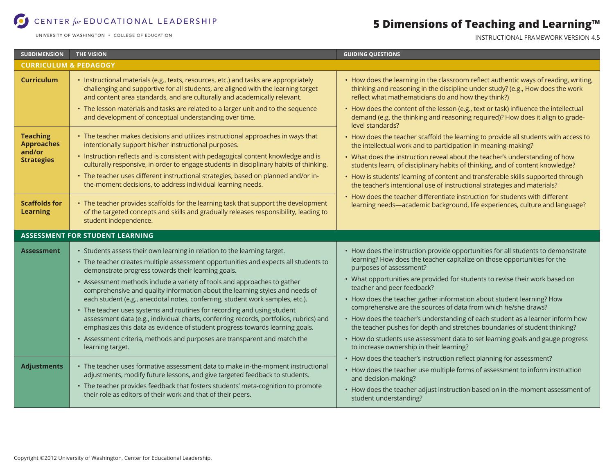#### CENTER for EDUCATIONAL LEADERSHIP

UNIVERSITY OF WASHINGTON . COLLEGE OF EDUCATION

## **5 Dimensions of Teaching and Learning™**

INSTRUCTIONAL FRAMEWORK VERSION 4.5

| <b>SUBDIMENSION</b>                     | <b>THE VISION</b>                                                                                                                                                                                                                                      | <b>GUIDING QUESTIONS</b>                                                                                                                                                                                                      |  |  |
|-----------------------------------------|--------------------------------------------------------------------------------------------------------------------------------------------------------------------------------------------------------------------------------------------------------|-------------------------------------------------------------------------------------------------------------------------------------------------------------------------------------------------------------------------------|--|--|
| <b>CURRICULUM &amp; PEDAGOGY</b>        |                                                                                                                                                                                                                                                        |                                                                                                                                                                                                                               |  |  |
| <b>Curriculum</b>                       | · Instructional materials (e.g., texts, resources, etc.) and tasks are appropriately<br>challenging and supportive for all students, are aligned with the learning target<br>and content area standards, and are culturally and academically relevant. | • How does the learning in the classroom reflect authentic ways of reading, writing,<br>thinking and reasoning in the discipline under study? (e.g., How does the work<br>reflect what mathematicians do and how they think?) |  |  |
|                                         | • The lesson materials and tasks are related to a larger unit and to the sequence<br>and development of conceptual understanding over time.                                                                                                            | • How does the content of the lesson (e.g., text or task) influence the intellectual<br>demand (e.g. the thinking and reasoning required)? How does it align to grade-<br>level standards?                                    |  |  |
| <b>Teaching</b><br><b>Approaches</b>    | • The teacher makes decisions and utilizes instructional approaches in ways that<br>intentionally support his/her instructional purposes.                                                                                                              | • How does the teacher scaffold the learning to provide all students with access to<br>the intellectual work and to participation in meaning-making?                                                                          |  |  |
| and/or<br><b>Strategies</b>             | • Instruction reflects and is consistent with pedagogical content knowledge and is<br>culturally responsive, in order to engage students in disciplinary habits of thinking.                                                                           | • What does the instruction reveal about the teacher's understanding of how<br>students learn, of disciplinary habits of thinking, and of content knowledge?                                                                  |  |  |
|                                         | • The teacher uses different instructional strategies, based on planned and/or in-<br>the-moment decisions, to address individual learning needs.                                                                                                      | • How is students' learning of content and transferable skills supported through<br>the teacher's intentional use of instructional strategies and materials?                                                                  |  |  |
| <b>Scaffolds for</b><br><b>Learning</b> | • The teacher provides scaffolds for the learning task that support the development<br>of the targeted concepts and skills and gradually releases responsibility, leading to<br>student independence.                                                  | • How does the teacher differentiate instruction for students with different<br>learning needs-academic background, life experiences, culture and language?                                                                   |  |  |
| <b>ASSESSMENT FOR STUDENT LEARNING</b>  |                                                                                                                                                                                                                                                        |                                                                                                                                                                                                                               |  |  |
| <b>Assessment</b>                       | • Students assess their own learning in relation to the learning target.<br>• The teacher creates multiple assessment opportunities and expects all students to<br>demonstrate progress towards their learning goals.                                  | • How does the instruction provide opportunities for all students to demonstrate<br>learning? How does the teacher capitalize on those opportunities for the<br>purposes of assessment?                                       |  |  |
|                                         | • Assessment methods include a variety of tools and approaches to gather<br>comprehensive and quality information about the learning styles and needs of                                                                                               | • What opportunities are provided for students to revise their work based on<br>teacher and peer feedback?                                                                                                                    |  |  |
|                                         | each student (e.g., anecdotal notes, conferring, student work samples, etc.).                                                                                                                                                                          | • How does the teacher gather information about student learning? How<br>comprehensive are the sources of data from which he/she draws?                                                                                       |  |  |
|                                         | • The teacher uses systems and routines for recording and using student<br>assessment data (e.g., individual charts, conferring records, portfolios, rubrics) and<br>emphasizes this data as evidence of student progress towards learning goals.      | • How does the teacher's understanding of each student as a learner inform how<br>the teacher pushes for depth and stretches boundaries of student thinking?                                                                  |  |  |
|                                         | • Assessment criteria, methods and purposes are transparent and match the<br>learning target.                                                                                                                                                          | • How do students use assessment data to set learning goals and gauge progress<br>to increase ownership in their learning?                                                                                                    |  |  |
| <b>Adjustments</b>                      | • The teacher uses formative assessment data to make in-the-moment instructional<br>adjustments, modify future lessons, and give targeted feedback to students.                                                                                        | • How does the teacher's instruction reflect planning for assessment?<br>• How does the teacher use multiple forms of assessment to inform instruction<br>and decision-making?                                                |  |  |
|                                         | • The teacher provides feedback that fosters students' meta-cognition to promote<br>their role as editors of their work and that of their peers.                                                                                                       | • How does the teacher adjust instruction based on in-the-moment assessment of<br>student understanding?                                                                                                                      |  |  |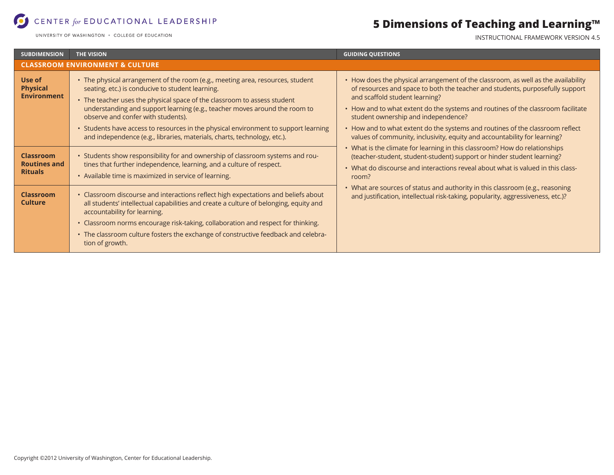#### CENTER for EDUCATIONAL LEADERSHIP

UNIVERSITY OF WASHINGTON . COLLEGE OF EDUCATION

## **5 Dimensions of Teaching and Learning™**

INSTRUCTIONAL FRAMEWORK VERSION 4.5

| <b>SUBDIMENSION</b>                                       | <b>THE VISION</b>                                                                                                                                                                                                                                                                                                                  | <b>GUIDING QUESTIONS</b>                                                                                                                                                                                                                                                                                                                                                                                             |  |  |
|-----------------------------------------------------------|------------------------------------------------------------------------------------------------------------------------------------------------------------------------------------------------------------------------------------------------------------------------------------------------------------------------------------|----------------------------------------------------------------------------------------------------------------------------------------------------------------------------------------------------------------------------------------------------------------------------------------------------------------------------------------------------------------------------------------------------------------------|--|--|
| <b>CLASSROOM ENVIRONMENT &amp; CULTURE</b>                |                                                                                                                                                                                                                                                                                                                                    |                                                                                                                                                                                                                                                                                                                                                                                                                      |  |  |
| Use of<br><b>Physical</b><br><b>Environment</b>           | • The physical arrangement of the room (e.g., meeting area, resources, student<br>seating, etc.) is conducive to student learning.<br>• The teacher uses the physical space of the classroom to assess student<br>understanding and support learning (e.g., teacher moves around the room to<br>observe and confer with students). | • How does the physical arrangement of the classroom, as well as the availability<br>of resources and space to both the teacher and students, purposefully support<br>and scaffold student learning?<br>• How and to what extent do the systems and routines of the classroom facilitate<br>student ownership and independence?                                                                                      |  |  |
|                                                           | • Students have access to resources in the physical environment to support learning<br>and independence (e.g., libraries, materials, charts, technology, etc.).                                                                                                                                                                    | • How and to what extent do the systems and routines of the classroom reflect<br>values of community, inclusivity, equity and accountability for learning?                                                                                                                                                                                                                                                           |  |  |
| <b>Classroom</b><br><b>Routines and</b><br><b>Rituals</b> | • Students show responsibility for and ownership of classroom systems and rou-<br>tines that further independence, learning, and a culture of respect.<br>• Available time is maximized in service of learning.                                                                                                                    | • What is the climate for learning in this classroom? How do relationships<br>(teacher-student, student-student) support or hinder student learning?<br>• What do discourse and interactions reveal about what is valued in this class-<br>room?<br>• What are sources of status and authority in this classroom (e.g., reasoning<br>and justification, intellectual risk-taking, popularity, aggressiveness, etc.)? |  |  |
| <b>Classroom</b><br><b>Culture</b>                        | • Classroom discourse and interactions reflect high expectations and beliefs about<br>all students' intellectual capabilities and create a culture of belonging, equity and<br>accountability for learning.<br>• Classroom norms encourage risk-taking, collaboration and respect for thinking.                                    |                                                                                                                                                                                                                                                                                                                                                                                                                      |  |  |
|                                                           | • The classroom culture fosters the exchange of constructive feedback and celebra-<br>tion of growth.                                                                                                                                                                                                                              |                                                                                                                                                                                                                                                                                                                                                                                                                      |  |  |